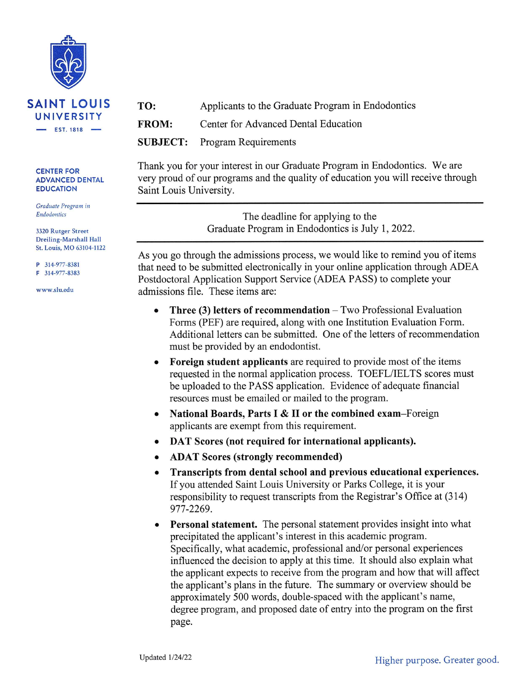

#### **CENTER FOR ADVANCED DENTAL EDUCATION**

Graduate Program in Endodontics

3320 Rutger Street Dreiling-Marshall Hall St. Louis, MO 63104-1122

P 314-977-8381

 $F$  314-977-8383

www.slu.edu

TO: Applicants to the Graduate Program in Endodontics **FROM:** Center for Advanced Dental Education **SUBJECT: Program Requirements** 

Thank you for your interest in our Graduate Program in Endodontics. We are very proud of our programs and the quality of education you will receive through Saint Louis University.

> The deadline for applying to the Graduate Program in Endodontics is July 1, 2022.

As you go through the admissions process, we would like to remind you of items that need to be submitted electronically in your online application through ADEA Postdoctoral Application Support Service (ADEA PASS) to complete your admissions file. These items are:

- **Three (3) letters of recommendation**  $-$  Two Professional Evaluation  $\bullet$ Forms (PEF) are required, along with one Institution Evaluation Form. Additional letters can be submitted. One of the letters of recommendation must be provided by an endodontist.
- Foreign student applicants are required to provide most of the items  $\bullet$ requested in the normal application process. TOEFL/IELTS scores must be uploaded to the PASS application. Evidence of adequate financial resources must be emailed or mailed to the program.
- National Boards, Parts I & II or the combined exam-Foreign  $\bullet$ applicants are exempt from this requirement.
- DAT Scores (not required for international applicants).  $\bullet$
- **ADAT Scores (strongly recommended)**  $\bullet$
- Transcripts from dental school and previous educational experiences.  $\bullet$ If you attended Saint Louis University or Parks College, it is your responsibility to request transcripts from the Registrar's Office at (314) 977-2269.
- **Personal statement.** The personal statement provides insight into what precipitated the applicant's interest in this academic program. Specifically, what academic, professional and/or personal experiences influenced the decision to apply at this time. It should also explain what the applicant expects to receive from the program and how that will affect the applicant's plans in the future. The summary or overview should be approximately 500 words, double-spaced with the applicant's name, degree program, and proposed date of entry into the program on the first page.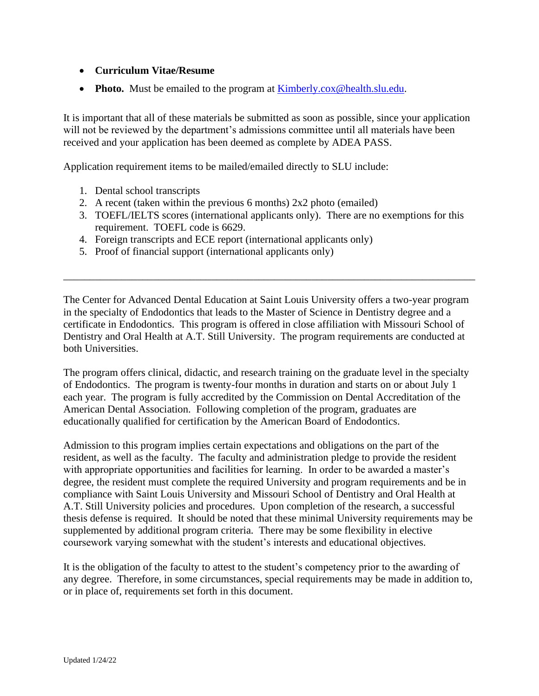# • **Curriculum Vitae/Resume**

• **Photo.** Must be emailed to the program at **Kimberly.cox@health.slu.edu.** 

It is important that all of these materials be submitted as soon as possible, since your application will not be reviewed by the department's admissions committee until all materials have been received and your application has been deemed as complete by ADEA PASS.

Application requirement items to be mailed/emailed directly to SLU include:

- 1. Dental school transcripts
- 2. A recent (taken within the previous 6 months) 2x2 photo (emailed)
- 3. TOEFL/IELTS scores (international applicants only). There are no exemptions for this requirement. TOEFL code is 6629.
- 4. Foreign transcripts and ECE report (international applicants only)
- 5. Proof of financial support (international applicants only)

The Center for Advanced Dental Education at Saint Louis University offers a two-year program in the specialty of Endodontics that leads to the Master of Science in Dentistry degree and a certificate in Endodontics. This program is offered in close affiliation with Missouri School of Dentistry and Oral Health at A.T. Still University. The program requirements are conducted at both Universities.

\_\_\_\_\_\_\_\_\_\_\_\_\_\_\_\_\_\_\_\_\_\_\_\_\_\_\_\_\_\_\_\_\_\_\_\_\_\_\_\_\_\_\_\_\_\_\_\_\_\_\_\_\_\_\_\_\_\_\_\_\_\_\_\_\_\_\_\_\_\_\_\_\_\_\_\_\_\_

The program offers clinical, didactic, and research training on the graduate level in the specialty of Endodontics. The program is twenty-four months in duration and starts on or about July 1 each year. The program is fully accredited by the Commission on Dental Accreditation of the American Dental Association. Following completion of the program, graduates are educationally qualified for certification by the American Board of Endodontics.

Admission to this program implies certain expectations and obligations on the part of the resident, as well as the faculty. The faculty and administration pledge to provide the resident with appropriate opportunities and facilities for learning. In order to be awarded a master's degree, the resident must complete the required University and program requirements and be in compliance with Saint Louis University and Missouri School of Dentistry and Oral Health at A.T. Still University policies and procedures. Upon completion of the research, a successful thesis defense is required. It should be noted that these minimal University requirements may be supplemented by additional program criteria. There may be some flexibility in elective coursework varying somewhat with the student's interests and educational objectives.

It is the obligation of the faculty to attest to the student's competency prior to the awarding of any degree. Therefore, in some circumstances, special requirements may be made in addition to, or in place of, requirements set forth in this document.